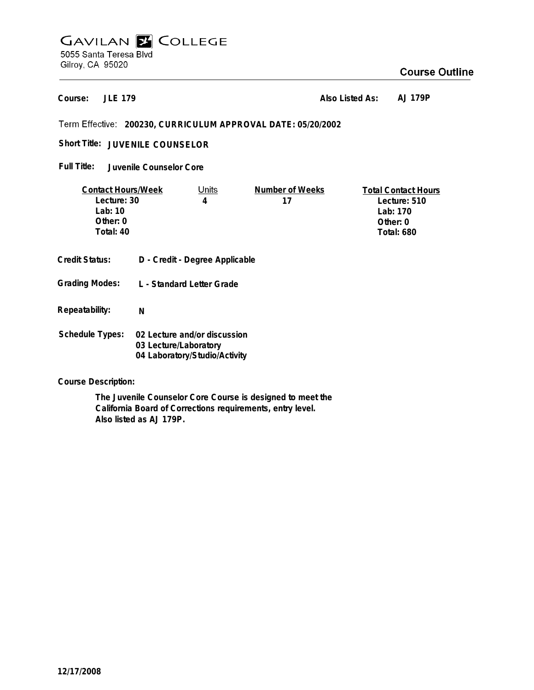# **GAVILAN E COLLEGE** 5055 Santa Teresa Blvd Gilroy, CA 95020

## **Course Outline**

**JLE 179 Course:**

**Also Listed As: AJ 179P**

**200230, CURRICULUM APPROVAL DATE: 05/20/2002**

Short Title: JUVENILE COUNSELOR

**Juvenile Counselor Core Full Title:**

| <b>Contact Hours/Week</b> |                                                       | Units | Number of Weeks | <b>Total Contact Hours</b> |
|---------------------------|-------------------------------------------------------|-------|-----------------|----------------------------|
| Lecture: 30               |                                                       | 4     | 17              | Lecture: 510               |
| Lab: $10$                 |                                                       |       |                 | Lab: 170                   |
| Other: 0                  |                                                       |       |                 | Other: $0$                 |
| Total: 40                 |                                                       |       |                 | <b>Total: 680</b>          |
|                           |                                                       |       |                 |                            |
| <b>Credit Status:</b>     | D - Credit - Degree Applicable                        |       |                 |                            |
| <b>Grading Modes:</b>     | L - Standard Letter Grade                             |       |                 |                            |
| Repeatability:            | N                                                     |       |                 |                            |
| Schedule Types:           | 02 Lecture and/or discussion<br>03 Lecture/Laboratory |       |                 |                            |

**Course Description:**

**The Juvenile Counselor Core Course is designed to meet the California Board of Corrections requirements, entry level. Also listed as AJ 179P.**

**04 Laboratory/Studio/Activity**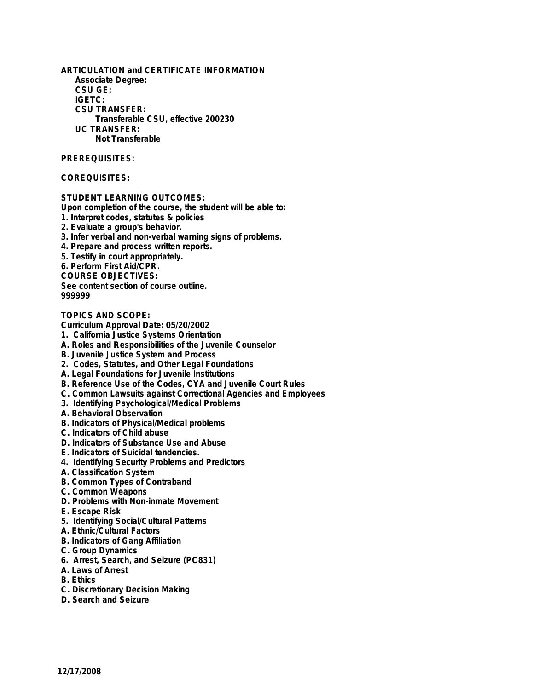**ARTICULATION and CERTIFICATE INFORMATION Associate Degree: CSU GE: IGETC: CSU TRANSFER: Transferable CSU, effective 200230 UC TRANSFER: Not Transferable**

### **PREREQUISITES:**

### **COREQUISITES:**

**STUDENT LEARNING OUTCOMES:**

**Upon completion of the course, the student will be able to:**

- **1. Interpret codes, statutes & policies**
- **2. Evaluate a group's behavior.**
- **3. Infer verbal and non-verbal warning signs of problems.**
- **4. Prepare and process written reports.**
- **5. Testify in court appropriately.**
- **6. Perform First Aid/CPR.**

**COURSE OBJECTIVES:**

**See content section of course outline.**

**999999**

**TOPICS AND SCOPE:**

**Curriculum Approval Date: 05/20/2002**

- **1. California Justice Systems Orientation**
- **A. Roles and Responsibilities of the Juvenile Counselor**
- **B. Juvenile Justice System and Process**
- **2. Codes, Statutes, and Other Legal Foundations**
- **A. Legal Foundations for Juvenile Institutions**
- **B. Reference Use of the Codes, CYA and Juvenile Court Rules**
- **C. Common Lawsuits against Correctional Agencies and Employees**
- **3. Identifying Psychological/Medical Problems**
- **A. Behavioral Observation**
- **B. Indicators of Physical/Medical problems**
- **C. Indicators of Child abuse**
- **D. Indicators of Substance Use and Abuse**
- **E. Indicators of Suicidal tendencies.**
- **4. Identifying Security Problems and Predictors**
- **A. Classification System**
- **B. Common Types of Contraband**
- **C. Common Weapons**
- **D. Problems with Non-inmate Movement**
- **E. Escape Risk**
- **5. Identifying Social/Cultural Patterns**
- **A. Ethnic/Cultural Factors**
- **B. Indicators of Gang Affiliation**
- **C. Group Dynamics**
- **6. Arrest, Search, and Seizure (PC831)**
- **A. Laws of Arrest**
- **B. Ethics**
- **C. Discretionary Decision Making**
- **D. Search and Seizure**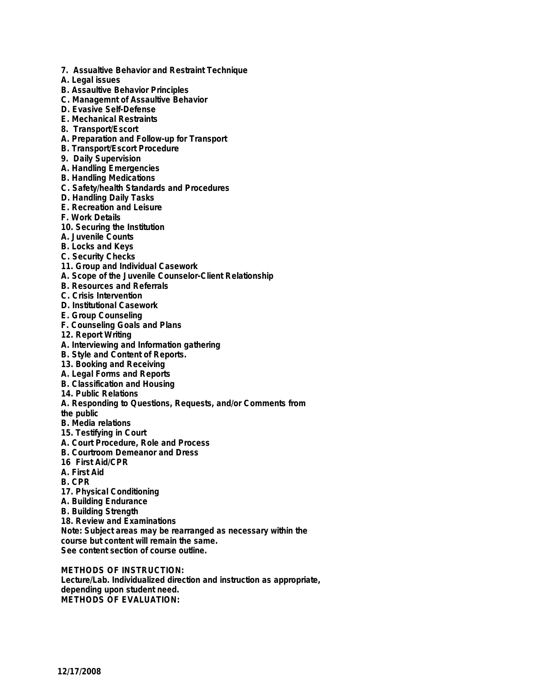- **7. Assualtive Behavior and Restraint Technique**
- **A. Legal issues**
- **B. Assaultive Behavior Principles**
- **C. Managemnt of Assaultive Behavior**
- **D. Evasive Self-Defense**
- **E. Mechanical Restraints**
- **8. Transport/Escort**
- **A. Preparation and Follow-up for Transport**
- **B. Transport/Escort Procedure**
- **9. Daily Supervision**
- **A. Handling Emergencies**
- **B. Handling Medications**
- **C. Safety/health Standards and Procedures**
- **D. Handling Daily Tasks**
- **E. Recreation and Leisure**
- **F. Work Details**
- **10. Securing the Institution**
- **A. Juvenile Counts**
- **B. Locks and Keys**
- **C. Security Checks**
- **11. Group and Individual Casework**
- **A. Scope of the Juvenile Counselor-Client Relationship**
- **B. Resources and Referrals**
- **C. Crisis Intervention**
- **D. Institutional Casework**
- **E. Group Counseling**
- **F. Counseling Goals and Plans**
- **12. Report Writing**
- **A. Interviewing and Information gathering**
- **B. Style and Content of Reports.**
- **13. Booking and Receiving**
- **A. Legal Forms and Reports**
- **B. Classification and Housing**
- **14. Public Relations**
- **A. Responding to Questions, Requests, and/or Comments from**
- **the public**
- **B. Media relations**
- **15. Testifying in Court**
- **A. Court Procedure, Role and Process**
- **B. Courtroom Demeanor and Dress**
- **16 First Aid/CPR**
- **A. First Aid**
- **B. CPR**
- **17. Physical Conditioning**
- **A. Building Endurance**
- **B. Building Strength**

**18. Review and Examinations Note: Subject areas may be rearranged as necessary within the course but content will remain the same. See content section of course outline.**

**METHODS OF INSTRUCTION: Lecture/Lab. Individualized direction and instruction as appropriate, depending upon student need. METHODS OF EVALUATION:**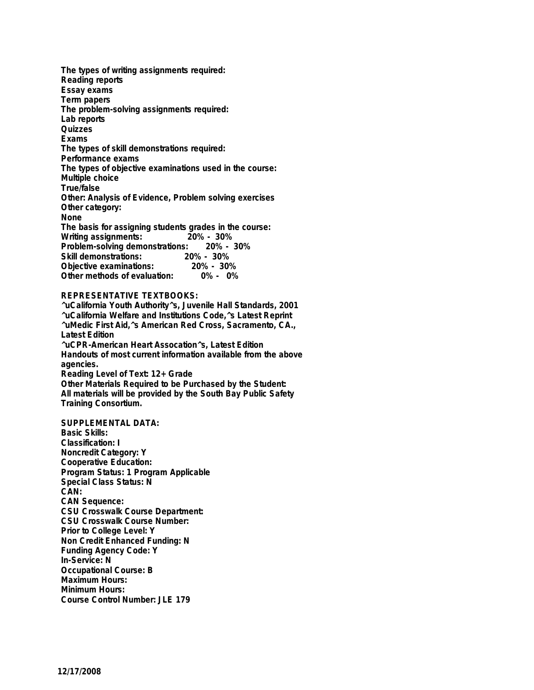**The types of writing assignments required: Reading reports Essay exams Term papers The problem-solving assignments required: Lab reports Quizzes Exams The types of skill demonstrations required: Performance exams The types of objective examinations used in the course: Multiple choice True/false Other: Analysis of Evidence, Problem solving exercises Other category: None The basis for assigning students grades in the course: Writing assignments: 20% - 30% Problem-solving demonstrations: Skill demonstrations: 20% - 30% Objective examinations: Other methods of evaluation: 0% - 0%**

#### **REPRESENTATIVE TEXTBOOKS:**

**^uCalifornia Youth Authority^s, Juvenile Hall Standards, 2001 ^uCalifornia Welfare and Institutions Code,^s Latest Reprint ^uMedic First Aid,^s American Red Cross, Sacramento, CA., Latest Edition ^uCPR-American Heart Assocation^s, Latest Edition Handouts of most current information available from the above agencies. Reading Level of Text: 12+ Grade Other Materials Required to be Purchased by the Student:**

**All materials will be provided by the South Bay Public Safety Training Consortium.**

**SUPPLEMENTAL DATA: Basic Skills: Classification: I Noncredit Category: Y Cooperative Education: Program Status: 1 Program Applicable Special Class Status: N CAN: CAN Sequence: CSU Crosswalk Course Department: CSU Crosswalk Course Number: Prior to College Level: Y Non Credit Enhanced Funding: N Funding Agency Code: Y In-Service: N Occupational Course: B Maximum Hours: Minimum Hours: Course Control Number: JLE 179**